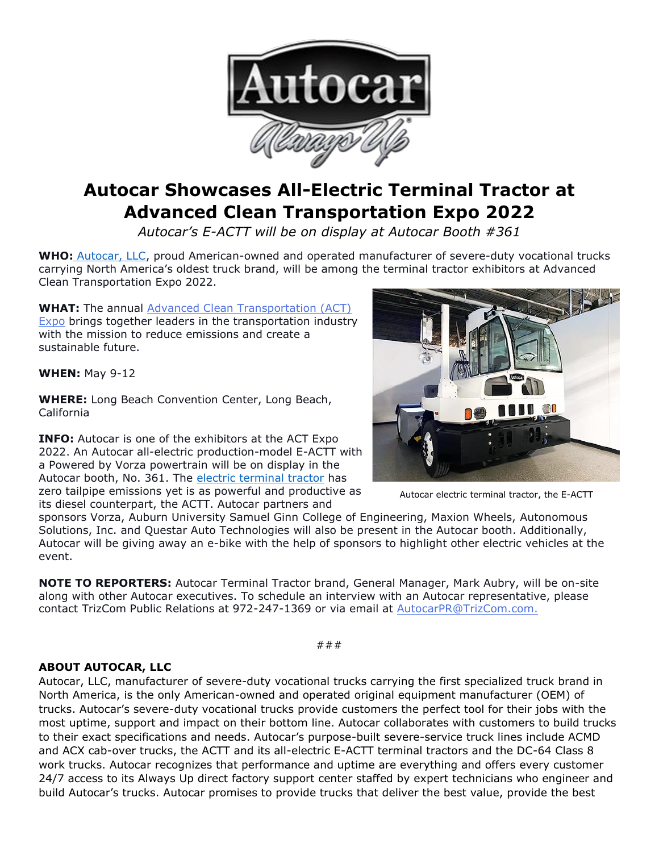

## **Autocar Showcases All-Electric Terminal Tractor at Advanced Clean Transportation Expo 2022**

*Autocar's E-ACTT will be on display at Autocar Booth #361*

**WHO:** [Autocar, LLC,](https://www.autocartruck.com/autocar-difference/?utm_source=autocar+media+alert&utm_medium=newsroom.autocartruck.com&utm_campaign=may+2022+act+expo+media+alert&utm_content=autocar+llc+hyperlink+1) proud American-owned and operated manufacturer of severe-duty vocational trucks carrying North America's oldest truck brand, will be among the terminal tractor exhibitors at Advanced Clean Transportation Expo 2022.

**WHAT:** The annual [Advanced Clean Transportation \(ACT\)](https://www.actexpo.com/about)  [Expo](https://www.actexpo.com/about) brings together leaders in the transportation industry with the mission to reduce emissions and create a sustainable future.

**WHEN:** May 9-12

**WHERE:** Long Beach Convention Center, Long Beach, California

**INFO:** Autocar is one of the exhibitors at the ACT Expo 2022. An Autocar all-electric production-model E-ACTT with a Powered by Vorza powertrain will be on display in the Autocar booth, No. 361. The [electric terminal tractor](https://www.autocartruck.com/actt/eactt/?utm_source=autocar+media+alert&utm_medium=newsroom.autocartruck.com&utm_campaign=may+2022+act+expo+media+alert&utm_content=electric+terminal+tractor+hyperlink+2) has zero tailpipe emissions yet is as powerful and productive as its diesel counterpart, the ACTT. Autocar partners and



Autocar electric terminal tractor, the E-ACTT

sponsors Vorza, Auburn University Samuel Ginn College of Engineering, Maxion Wheels, Autonomous Solutions, Inc. and Questar Auto Technologies will also be present in the Autocar booth. Additionally, Autocar will be giving away an e-bike with the help of sponsors to highlight other electric vehicles at the event.

**NOTE TO REPORTERS:** Autocar Terminal Tractor brand, General Manager, Mark Aubry, will be on-site along with other Autocar executives. To schedule an interview with an Autocar representative, please contact TrizCom Public Relations at 972-247-1369 or via email at [AutocarPR@TrizCom.com.](mailto:AutocarPR@TrizCom.com)

###

## **ABOUT AUTOCAR, LLC**

Autocar, LLC, manufacturer of severe-duty vocational trucks carrying the first specialized truck brand in North America, is the only American-owned and operated original equipment manufacturer (OEM) of trucks. Autocar's severe-duty vocational trucks provide customers the perfect tool for their jobs with the most uptime, support and impact on their bottom line. Autocar collaborates with customers to build trucks to their exact specifications and needs. Autocar's purpose-built severe-service truck lines include ACMD and ACX cab-over trucks, the ACTT and its all-electric E-ACTT terminal tractors and the DC-64 Class 8 work trucks. Autocar recognizes that performance and uptime are everything and offers every customer 24/7 access to its Always Up direct factory support center staffed by expert technicians who engineer and build Autocar's trucks. Autocar promises to provide trucks that deliver the best value, provide the best